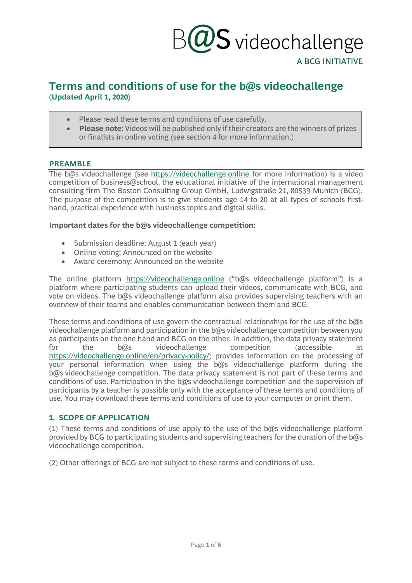# $\mathcal{V}\mathsf{S}$  videochallenge

#### A BCG INITIATIVE

#### **Terms and conditions of use for the b@s videochallenge (Updated April 1, 2020)**

- Please read these terms and conditions of use carefully.
- **Please note:** Videos will be published only if their creators are the winners of prizes or finalists in online voting (see section 4 for more information.)

#### **PREAMBLE**

The b@s videochallenge (see [https://videochallenge.online](https://videochallenge.online/) for more information) is a video competition of business@school, the educational initiative of the international management consulting firm The Boston Consulting Group GmbH, Ludwigstraße 21, 80539 Munich (BCG). The purpose of the competition is to give students age 14 to 20 at all types of schools firsthand, practical experience with business topics and digital skills.

#### **Important dates for the b@s videochallenge competition:**

- Submission deadline: August 1 (each year)
- Online voting: Announced on the website
- Award ceremony: Announced on the website

The online platform [https://videochallenge.online](https://videochallenge.online/) ("b@s videochallenge platform") is a platform where participating students can upload their videos, communicate with BCG, and vote on videos. The b@s videochallenge platform also provides supervising teachers with an overview of their teams and enables communication between them and BCG.

These terms and conditions of use govern the contractual relationships for the use of the b@s videochallenge platform and participation in the b@s videochallenge competition between you as participants on the one hand and BCG on the other. In addition, the data privacy statement for the b@s videochallenge competition (accessible at [https://videochallenge.online/en/privacy-policy/\)](https://videochallenge.online/en/privacy-policy/) provides information on the processing of your personal information when using the b@s videochallenge platform during the b@s videochallenge competition. The data privacy statement is not part of these terms and conditions of use. Participation in the b@s videochallenge competition and the supervision of participants by a teacher is possible only with the acceptance of these terms and conditions of use. You may download these terms and conditions of use to your computer or print them.

#### **1. SCOPE OF APPLICATION**

(1) These terms and conditions of use apply to the use of the b@s videochallenge platform provided by BCG to participating students and supervising teachers for the duration of the  $b@s$ videochallenge competition.

(2) Other offerings of BCG are not subject to these terms and conditions of use.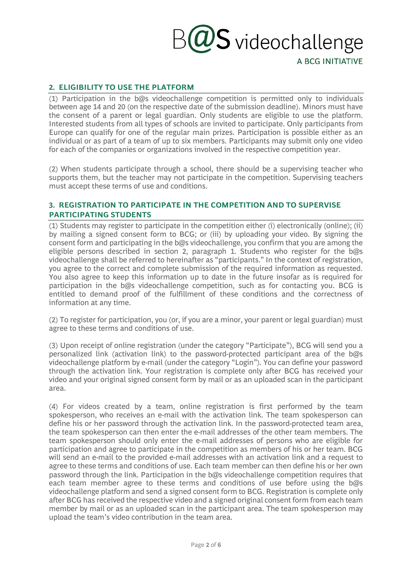## $\overline{\omega}$ S videochallenge

A BCG INITIATIVE

#### **2. ELIGIBILITY TO USE THE PLATFORM**

(1) Participation in the b@s videochallenge competition is permitted only to individuals between age 14 and 20 (on the respective date of the submission deadline). Minors must have the consent of a parent or legal guardian. Only students are eligible to use the platform. Interested students from all types of schools are invited to participate. Only participants from Europe can qualify for one of the regular main prizes. Participation is possible either as an individual or as part of a team of up to six members. Participants may submit only one video for each of the companies or organizations involved in the respective competition year.

(2) When students participate through a school, there should be a supervising teacher who supports them, but the teacher may not participate in the competition. Supervising teachers must accept these terms of use and conditions.

#### **3. REGISTRATION TO PARTICIPATE IN THE COMPETITION AND TO SUPERVISE PARTICIPATING STUDENTS**

(1) Students may register to participate in the competition either (i) electronically (online); (ii) by mailing a signed consent form to BCG; or (iii) by uploading your video. By signing the consent form and participating in the b@s videochallenge, you confirm that you are among the eligible persons described in section 2, paragraph 1. Students who register for the b@s videochallenge shall be referred to hereinafter as "participants." In the context of registration, you agree to the correct and complete submission of the required information as requested. You also agree to keep this information up to date in the future insofar as is required for participation in the b@s videochallenge competition, such as for contacting you. BCG is entitled to demand proof of the fulfillment of these conditions and the correctness of information at any time.

(2) To register for participation, you (or, if you are a minor, your parent or legal guardian) must agree to these terms and conditions of use.

(3) Upon receipt of online registration (under the category "Participate"), BCG will send you a personalized link (activation link) to the password-protected participant area of the b@s videochallenge platform by e-mail (under the category "Login"). You can define your password through the activation link. Your registration is complete only after BCG has received your video and your original signed consent form by mail or as an uploaded scan in the participant area.

(4) For videos created by a team, online registration is first performed by the team spokesperson, who receives an e-mail with the activation link. The team spokesperson can define his or her password through the activation link. In the password-protected team area, the team spokesperson can then enter the e-mail addresses of the other team members. The team spokesperson should only enter the e-mail addresses of persons who are eligible for participation and agree to participate in the competition as members of his or her team. BCG will send an e-mail to the provided e-mail addresses with an activation link and a request to agree to these terms and conditions of use. Each team member can then define his or her own password through the link. Participation in the b@s videochallenge competition requires that each team member agree to these terms and conditions of use before using the b@s videochallenge platform and send a signed consent form to BCG. Registration is complete only after BCG has received the respective video and a signed original consent form from each team member by mail or as an uploaded scan in the participant area. The team spokesperson may upload the team's video contribution in the team area.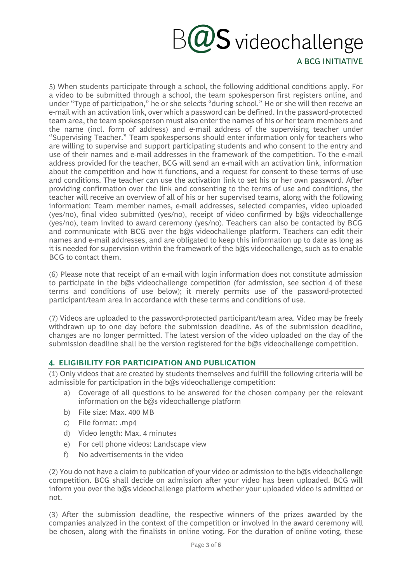# $\partial_{\partial} \mathbf{G}$  videochallenge

A BCG INITIATIVE

5) When students participate through a school, the following additional conditions apply. For a video to be submitted through a school, the team spokesperson first registers online, and under "Type of participation," he or she selects "during school." He or she will then receive an e-mail with an activation link, over which a password can be defined. In the password-protected team area, the team spokesperson must also enter the names of his or her team members and the name (incl. form of address) and e-mail address of the supervising teacher under "Supervising Teacher." Team spokespersons should enter information only for teachers who are willing to supervise and support participating students and who consent to the entry and use of their names and e-mail addresses in the framework of the competition. To the e-mail address provided for the teacher, BCG will send an e-mail with an activation link, information about the competition and how it functions, and a request for consent to these terms of use and conditions. The teacher can use the activation link to set his or her own password. After providing confirmation over the link and consenting to the terms of use and conditions, the teacher will receive an overview of all of his or her supervised teams, along with the following information: Team member names, e-mail addresses, selected companies, video uploaded (yes/no), final video submitted (yes/no), receipt of video confirmed by b@s videochallenge (yes/no), team invited to award ceremony (yes/no). Teachers can also be contacted by BCG and communicate with BCG over the b@s videochallenge platform. Teachers can edit their names and e-mail addresses, and are obligated to keep this information up to date as long as it is needed for supervision within the framework of the b@s videochallenge, such as to enable BCG to contact them.

(6) Please note that receipt of an e-mail with login information does not constitute admission to participate in the b@s videochallenge competition (for admission, see section 4 of these terms and conditions of use below); it merely permits use of the password-protected participant/team area in accordance with these terms and conditions of use.

(7) Videos are uploaded to the password-protected participant/team area. Video may be freely withdrawn up to one day before the submission deadline. As of the submission deadline, changes are no longer permitted. The latest version of the video uploaded on the day of the submission deadline shall be the version registered for the b@s videochallenge competition.

#### **4. ELIGIBILITY FOR PARTICIPATION AND PUBLICATION**

(1) Only videos that are created by students themselves and fulfill the following criteria will be admissible for participation in the b@s videochallenge competition:

- a) Coverage of all questions to be answered for the chosen company per the relevant information on the b@s videochallenge platform
- b) File size: Max. 400 MB
- c) File format: .mp4
- d) Video length: Max. 4 minutes
- e) For cell phone videos: Landscape view
- f) No advertisements in the video

(2) You do not have a claim to publication of your video or admission to the  $\log s$  videochallenge competition. BCG shall decide on admission after your video has been uploaded. BCG will inform you over the b@s videochallenge platform whether your uploaded video is admitted or not.

(3) After the submission deadline, the respective winners of the prizes awarded by the companies analyzed in the context of the competition or involved in the award ceremony will be chosen, along with the finalists in online voting. For the duration of online voting, these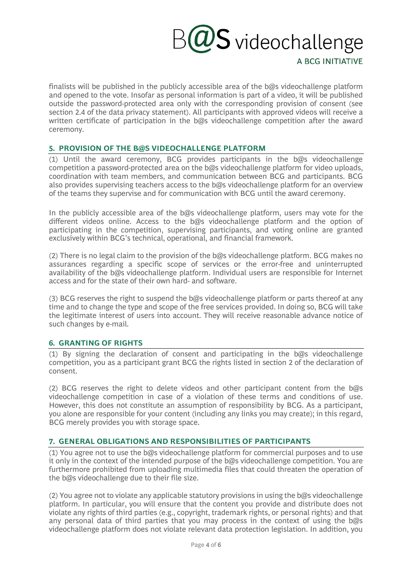# $\pmb{\mathcal{V}}\pmb{\mathsf{S}}$  videochallenge

A BCG INITIATIVE

finalists will be published in the publicly accessible area of the b@s videochallenge platform and opened to the vote. Insofar as personal information is part of a video, it will be published outside the password-protected area only with the corresponding provision of consent (see section 2.4 of the data privacy statement). All participants with approved videos will receive a written certificate of participation in the b@s videochallenge competition after the award ceremony.

#### **5. PROVISION OF THE B@S VIDEOCHALLENGE PLATFORM**

(1) Until the award ceremony, BCG provides participants in the b@s videochallenge competition a password-protected area on the b@s videochallenge platform for video uploads, coordination with team members, and communication between BCG and participants. BCG also provides supervising teachers access to the b@s videochallenge platform for an overview of the teams they supervise and for communication with BCG until the award ceremony.

In the publicly accessible area of the b@s videochallenge platform, users may vote for the different videos online. Access to the b@s videochallenge platform and the option of participating in the competition, supervising participants, and voting online are granted exclusively within BCG's technical, operational, and financial framework.

(2) There is no legal claim to the provision of the  $b\omega$ s videochallenge platform. BCG makes no assurances regarding a specific scope of services or the error-free and uninterrupted availability of the b@s videochallenge platform. Individual users are responsible for Internet access and for the state of their own hard- and software.

(3) BCG reserves the right to suspend the  $\partial \mathcal{Q}$ s videochallenge platform or parts thereof at any time and to change the type and scope of the free services provided. In doing so, BCG will take the legitimate interest of users into account. They will receive reasonable advance notice of such changes by e-mail.

#### **6. GRANTING OF RIGHTS**

(1) By signing the declaration of consent and participating in the b@s videochallenge competition, you as a participant grant BCG the rights listed in section 2 of the declaration of consent.

(2) BCG reserves the right to delete videos and other participant content from the  $b\omega s$ videochallenge competition in case of a violation of these terms and conditions of use. However, this does not constitute an assumption of responsibility by BCG. As a participant, you alone are responsible for your content (including any links you may create); in this regard, BCG merely provides you with storage space.

#### **7. GENERAL OBLIGATIONS AND RESPONSIBILITIES OF PARTICIPANTS**

(1) You agree not to use the b@s videochallenge platform for commercial purposes and to use it only in the context of the intended purpose of the  $\log s$  videochallenge competition. You are furthermore prohibited from uploading multimedia files that could threaten the operation of the b@s videochallenge due to their file size.

(2) You agree not to violate any applicable statutory provisions in using the  $\partial\mathcal{Q}$ s videochallenge platform. In particular, you will ensure that the content you provide and distribute does not violate any rights of third parties (e.g., copyright, trademark rights, or personal rights) and that any personal data of third parties that you may process in the context of using the b@s videochallenge platform does not violate relevant data protection legislation. In addition, you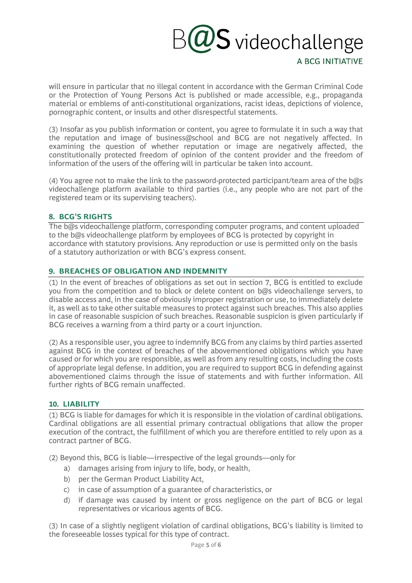### $\omega$ S videochallenge A BCG INITIATIVE

will ensure in particular that no illegal content in accordance with the German Criminal Code or the Protection of Young Persons Act is published or made accessible, e.g., propaganda material or emblems of anti-constitutional organizations, racist ideas, depictions of violence, pornographic content, or insults and other disrespectful statements.

(3) Insofar as you publish information or content, you agree to formulate it in such a way that the reputation and image of business@school and BCG are not negatively affected. In examining the question of whether reputation or image are negatively affected, the constitutionally protected freedom of opinion of the content provider and the freedom of information of the users of the offering will in particular be taken into account.

(4) You agree not to make the link to the password-protected participant/team area of the  $b\omega s$ videochallenge platform available to third parties (i.e., any people who are not part of the registered team or its supervising teachers).

#### **8. BCG'S RIGHTS**

The b@s videochallenge platform, corresponding computer programs, and content uploaded to the b@s videochallenge platform by employees of BCG is protected by copyright in accordance with statutory provisions. Any reproduction or use is permitted only on the basis of a statutory authorization or with BCG's express consent.

#### **9. BREACHES OF OBLIGATION AND INDEMNITY**

(1) In the event of breaches of obligations as set out in section 7, BCG is entitled to exclude you from the competition and to block or delete content on b@s videochallenge servers, to disable access and, in the case of obviously improper registration or use, to immediately delete it, as well as to take other suitable measures to protect against such breaches. This also applies in case of reasonable suspicion of such breaches. Reasonable suspicion is given particularly if BCG receives a warning from a third party or a court injunction.

(2) As a responsible user, you agree to indemnify BCG from any claims by third parties asserted against BCG in the context of breaches of the abovementioned obligations which you have caused or for which you are responsible, as well as from any resulting costs, including the costs of appropriate legal defense. In addition, you are required to support BCG in defending against abovementioned claims through the issue of statements and with further information. All further rights of BCG remain unaffected.

#### **10. LIABILITY**

(1) BCG is liable for damages for which it is responsible in the violation of cardinal obligations. Cardinal obligations are all essential primary contractual obligations that allow the proper execution of the contract, the fulfillment of which you are therefore entitled to rely upon as a contract partner of BCG.

(2) Beyond this, BCG is liable—irrespective of the legal grounds—only for

- a) damages arising from injury to life, body, or health,
- b) per the German Product Liability Act,
- c) in case of assumption of a guarantee of characteristics, or
- d) if damage was caused by intent or gross negligence on the part of BCG or legal representatives or vicarious agents of BCG.

(3) In case of a slightly negligent violation of cardinal obligations, BCG's liability is limited to the foreseeable losses typical for this type of contract.